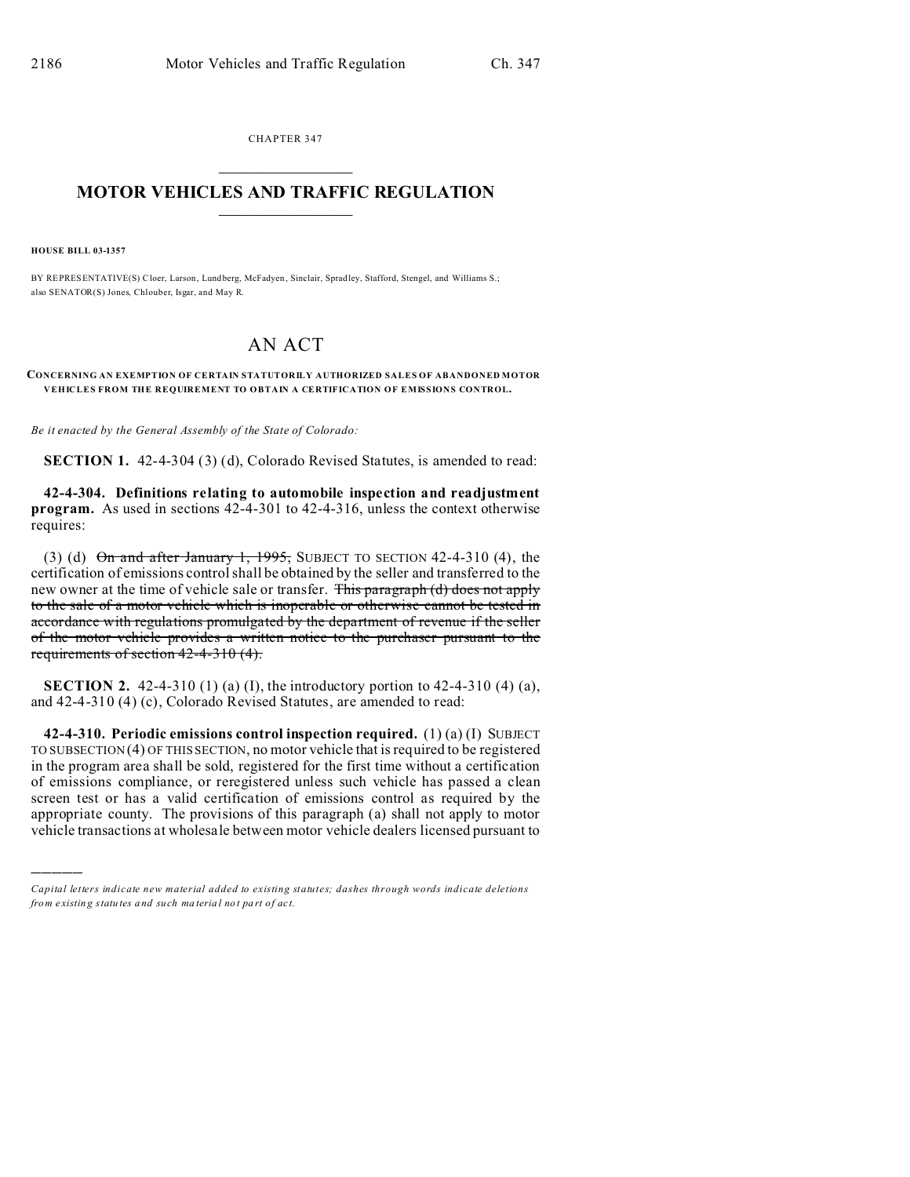CHAPTER 347  $\overline{\phantom{a}}$  , where  $\overline{\phantom{a}}$ 

## **MOTOR VEHICLES AND TRAFFIC REGULATION**  $\frac{1}{2}$  ,  $\frac{1}{2}$  ,  $\frac{1}{2}$  ,  $\frac{1}{2}$  ,  $\frac{1}{2}$  ,  $\frac{1}{2}$  ,  $\frac{1}{2}$

**HOUSE BILL 03-1357**

)))))

BY REPRESENTATIVE(S) Cloer, Larson, Lundberg, McFadyen , Sinclair, Spradley, Stafford, Stengel, and Williams S.; also SENATOR(S) Jones, Chlouber, Isgar, and May R.

## AN ACT

## **CONCERNING AN EXEMPTION OF CERTAIN STATUTORILY AUTHORIZED SALES OF ABANDONED MOTOR VEHICLES FROM THE REQUIREMENT TO OBTAIN A CERTIFICATION OF EMISSIONS CONTROL.**

*Be it enacted by the General Assembly of the State of Colorado:*

**SECTION 1.** 42-4-304 (3) (d), Colorado Revised Statutes, is amended to read:

**42-4-304. Definitions relating to automobile inspection and readjustment program.** As used in sections 42-4-301 to 42-4-316, unless the context otherwise requires:

(3) (d)  $\Theta$ n and after January 1, 1995, SUBJECT TO SECTION 42-4-310 (4), the certification of emissions control shall be obtained by the seller and transferred to the new owner at the time of vehicle sale or transfer. This paragraph (d) does not apply to the sale of a motor vehicle which is inoperable or otherwise cannot be tested in accordance with regulations promulgated by the department of revenue if the seller of the motor vehicle provides a written notice to the purchaser pursuant to the requirements of section 42-4-310 (4).

**SECTION 2.** 42-4-310 (1) (a) (I), the introductory portion to 42-4-310 (4) (a), and 42-4-310 (4) (c), Colorado Revised Statutes, are amended to read:

**42-4-310. Periodic emissions control inspection required.** (1) (a) (I) SUBJECT TO SUBSECTION (4) OF THIS SECTION, no motor vehicle that is required to be registered in the program area shall be sold, registered for the first time without a certification of emissions compliance, or reregistered unless such vehicle has passed a clean screen test or has a valid certification of emissions control as required by the appropriate county. The provisions of this paragraph (a) shall not apply to motor vehicle transactions at wholesale between motor vehicle dealers licensed pursuant to

*Capital letters indicate new material added to existing statutes; dashes through words indicate deletions from e xistin g statu tes a nd such ma teria l no t pa rt of ac t.*